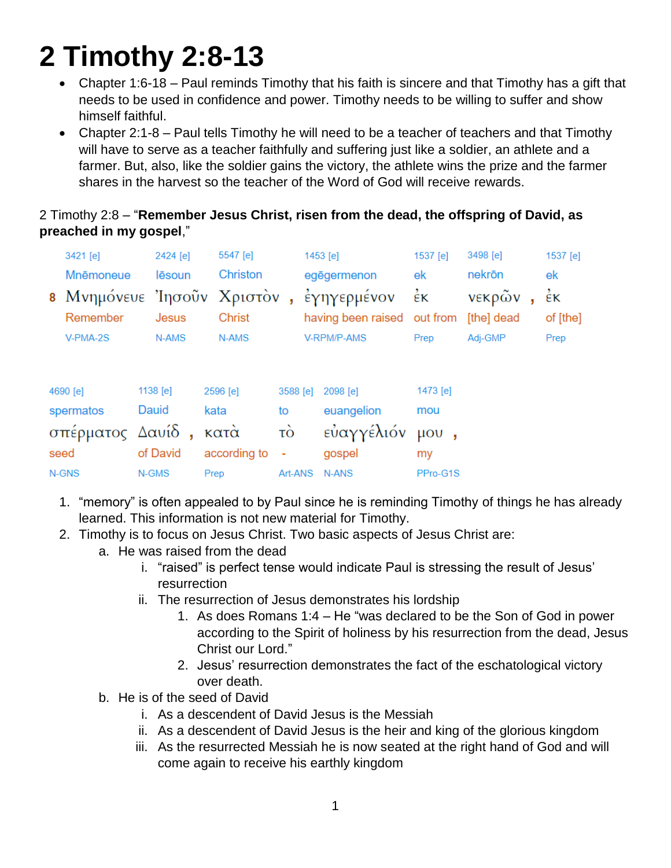# **2 Timothy 2:8-13**

- Chapter 1:6-18 Paul reminds Timothy that his faith is sincere and that Timothy has a gift that needs to be used in confidence and power. Timothy needs to be willing to suffer and show himself faithful.
- Chapter 2:1-8 Paul tells Timothy he will need to be a teacher of teachers and that Timothy will have to serve as a teacher faithfully and suffering just like a soldier, an athlete and a farmer. But, also, like the soldier gains the victory, the athlete wins the prize and the farmer shares in the harvest so the teacher of the Word of God will receive rewards.

# 2 Timothy 2:8 – "**Remember Jesus Christ, risen from the dead, the offspring of David, as preached in my gospel**,"

| 3421 [e]<br>Mnēmoneue<br>Remember | 2424 [e]<br>lēsoun<br>Jesus | 5547 [e]<br>Christon<br><b>Christ</b> |          | 1453 [e]<br>egēgermenon<br>8 Μνημόνευε Ίησοῦν Χριστὸν, ἐγηγερμένον<br>having been raised out from | 1537 [e]<br>ek<br>$\dot{\epsilon}$ ĸ | 3498 [e]<br>nekrön<br>νεκρῶν<br>[the] dead | 1537 [e]<br>ek<br>έκ<br>of [the] |
|-----------------------------------|-----------------------------|---------------------------------------|----------|---------------------------------------------------------------------------------------------------|--------------------------------------|--------------------------------------------|----------------------------------|
| V-PMA-2S                          | N-AMS                       | N-AMS                                 |          | V-RPM/P-AMS                                                                                       | Prep                                 | Adj-GMP                                    | Prep                             |
| 4690 [e]                          | 1138 [e]                    | 2596 [e]                              | 3588 [e] | 2098 [e]                                                                                          | 1473 [e]                             |                                            |                                  |
| spermatos                         | Dauid                       | kata                                  | to       | euangelion                                                                                        | mou                                  |                                            |                                  |
| σπέρματος Δαυίδ,                  |                             | κατά                                  | τò       | εὐαγγέλιόν                                                                                        | $\mu$ <sup>0</sup>                   |                                            |                                  |
| seed                              | of David                    | according to                          |          | gospel                                                                                            | my                                   |                                            |                                  |
| N-GNS                             | N-GMS                       | Prep                                  | Art-ANS  | N-ANS                                                                                             | PPro-G1S                             |                                            |                                  |

- 1. "memory" is often appealed to by Paul since he is reminding Timothy of things he has already learned. This information is not new material for Timothy.
- 2. Timothy is to focus on Jesus Christ. Two basic aspects of Jesus Christ are:
	- a. He was raised from the dead
		- i. "raised" is perfect tense would indicate Paul is stressing the result of Jesus' resurrection
		- ii. The resurrection of Jesus demonstrates his lordship
			- 1. As does Romans 1:4 He "was declared to be the Son of God in power according to the Spirit of holiness by his resurrection from the dead, Jesus Christ our Lord."
			- 2. Jesus' resurrection demonstrates the fact of the eschatological victory over death.
	- b. He is of the seed of David
		- i. As a descendent of David Jesus is the Messiah
		- ii. As a descendent of David Jesus is the heir and king of the glorious kingdom
		- iii. As the resurrected Messiah he is now seated at the right hand of God and will come again to receive his earthly kingdom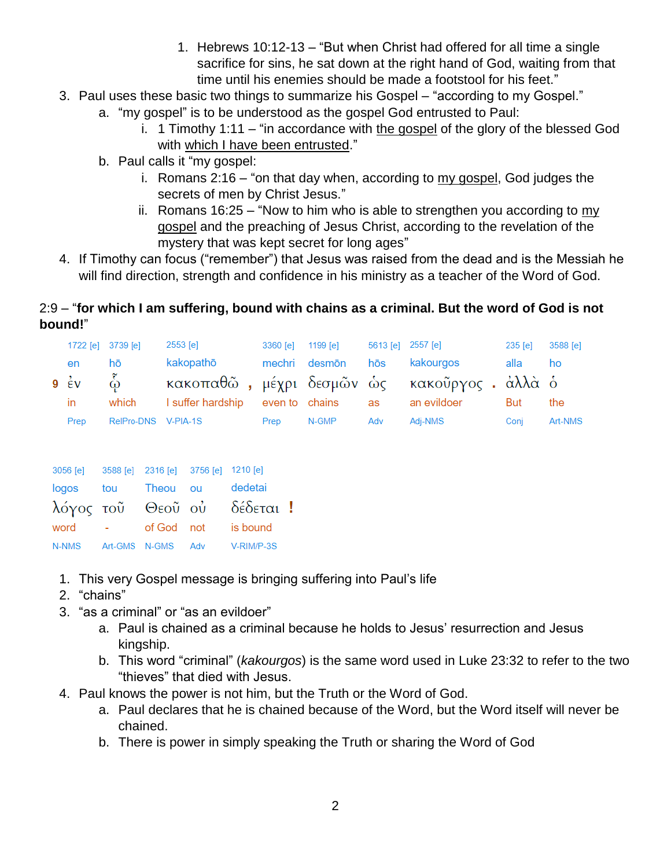- 1. Hebrews 10:12-13 "But when Christ had offered for all time a single sacrifice for sins, he sat down at the right hand of God, waiting from that time until his enemies should be made a footstool for his feet."
- 3. Paul uses these basic two things to summarize his Gospel "according to my Gospel."
	- a. "my gospel" is to be understood as the gospel God entrusted to Paul:
		- i. 1 Timothy 1:11 "in accordance with the gospel of the glory of the blessed God with which I have been entrusted."
	- b. Paul calls it "my gospel:
		- i. Romans 2:16 "on that day when, according to my gospel, God judges the secrets of men by Christ Jesus."
		- ii. Romans 16:25 "Now to him who is able to strengthen you according to my gospel and the preaching of Jesus Christ, according to the revelation of the mystery that was kept secret for long ages"
- 4. If Timothy can focus ("remember") that Jesus was raised from the dead and is the Messiah he will find direction, strength and confidence in his ministry as a teacher of the Word of God.

# 2:9 – "**for which I am suffering, bound with chains as a criminal. But the word of God is not bound!**"

| 1722 [e] 3739 [e]    |                     | 2553 [e]                                      | 3360 [e] | 1199 [e]       | 5613 [e] 2557 [e] |             | 235 [e] | 3588 [e] |
|----------------------|---------------------|-----------------------------------------------|----------|----------------|-------------------|-------------|---------|----------|
| en                   | hō                  | kakopathō                                     |          | mechri desmōn  | hōs               | kakourgos   | alla    | ho       |
| 9 $\dot{\epsilon}$ v | $\mathring{\omega}$ | κακοπαθῶ , μέχρι δεσμῶν ὡς κακοῦργος . ἀλλὰ ὁ |          |                |                   |             |         |          |
| in.                  | which               | I suffer hardship                             |          | even to chains | as                | an evildoer | But     | the      |
| Prep                 | RelPro-DNS V-PIA-1S |                                               | Prep     | N-GMP          | Adv               | Adi-NMS     | Coni    | Art-NMS  |

| 3056 [e] 3588 [e] 2316 [e] 3756 [e] 1210 [e] |                 |                   |                            |  |
|----------------------------------------------|-----------------|-------------------|----------------------------|--|
| logos tou Theou ou                           |                 |                   | dedetai                    |  |
|                                              |                 |                   | λόγος τοῦ Θεοῦ οὐ δέδεται! |  |
| word                                         | <b>Contract</b> | of God not        | is bound                   |  |
| N-NMS                                        |                 | Art-GMS N-GMS Adv | V-RIM/P-3S                 |  |

- 1. This very Gospel message is bringing suffering into Paul's life
- 2. "chains"
- 3. "as a criminal" or "as an evildoer"
	- a. Paul is chained as a criminal because he holds to Jesus' resurrection and Jesus kingship.
	- b. This word "criminal" (*kakourgos*) is the same word used in Luke 23:32 to refer to the two "thieves" that died with Jesus.
- 4. Paul knows the power is not him, but the Truth or the Word of God.
	- a. Paul declares that he is chained because of the Word, but the Word itself will never be chained.
	- b. There is power in simply speaking the Truth or sharing the Word of God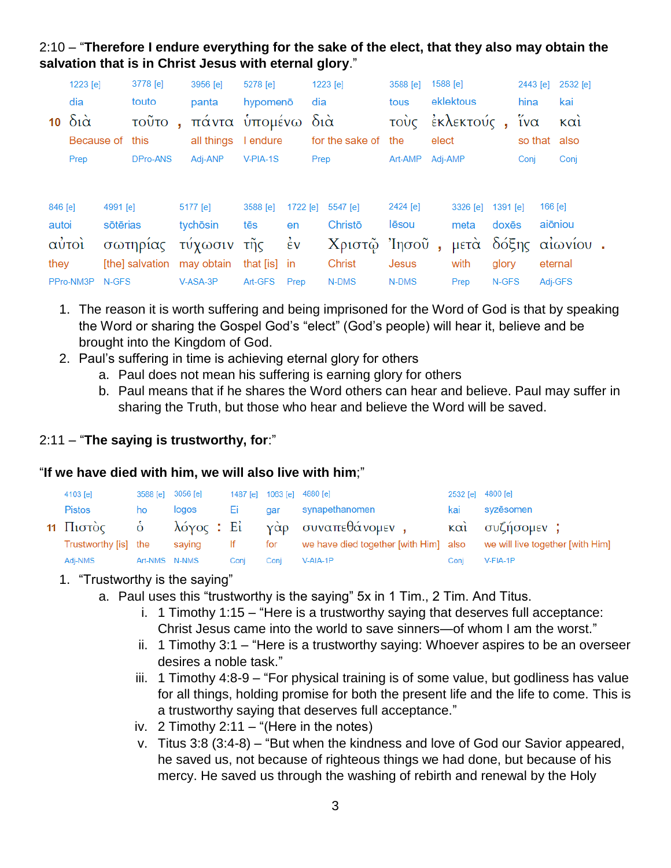2:10 – "**Therefore I endure everything for the sake of the elect, that they also may obtain the salvation that is in Christ Jesus with eternal glory**."

|                 | 1223 [e]        |          | 3778 [e] |              | 3956 [e]                   | 5278 [e]     |                    |      | 1223 [e]        | 3588 [e] |         | 1588 [e]            |          | 2443 [e] |         | 2532 [e]     |  |
|-----------------|-----------------|----------|----------|--------------|----------------------------|--------------|--------------------|------|-----------------|----------|---------|---------------------|----------|----------|---------|--------------|--|
|                 | dia             |          | touto    |              | panta                      | hypomenō     |                    | dia  |                 | tous     |         | eklektous           |          | hina     |         | kai          |  |
| 10 <sup>1</sup> | διὰ             |          | τοῦτο    | $\mathbf{u}$ | πάντα υπομένω διά          |              |                    |      |                 |          |         | τοὺς ἐκλεκτούς, ἵνα |          |          |         | $k\alpha i$  |  |
|                 | Because of this |          |          |              | all things I endure        |              |                    |      | for the sake of | the      | elect   |                     |          |          |         | so that also |  |
|                 | Prep            |          | DPro-ANS |              | Adj-ANP                    | $V-PIA-1S$   |                    | Prep |                 | Art-AMP  | Adj-AMP |                     |          | Conj     |         | Conj         |  |
|                 |                 |          |          |              |                            |              |                    |      |                 |          |         |                     |          |          |         |              |  |
| 846 [e]         |                 | 4991 [e] |          |              | 5177 [e]                   | 3588 [e]     | $1722$ [e]         |      | 5547 [e]        | 2424 [e] |         | 3326 [e]            | 1391 [e] |          | 166 [e] |              |  |
| autoi           |                 | sōtērias |          |              | tychōsin                   | tēs          | en                 |      | Christō         | lēsou    |         | meta                | doxēs    |          | aiōniou |              |  |
|                 | αύτοι           |          | σωτηρίας |              | τύχωσιν τῆς                |              | $\dot{\epsilon}$ v |      | Χριστῷ Ἰησοῦ    |          | ä,      | μετά δόξης αίωνίου  |          |          |         |              |  |
| they            |                 |          |          |              | [the] salvation may obtain | that [is] in |                    |      | Christ          | Jesus    |         | with                | glory    |          | eternal |              |  |
|                 | PPro-NM3P       | N-GFS    |          |              | V-ASA-3P                   | Art-GFS      | Prep               |      | N-DMS           | N-DMS    |         | Prep                | N-GFS    |          | Adi-GFS |              |  |

- 1. The reason it is worth suffering and being imprisoned for the Word of God is that by speaking the Word or sharing the Gospel God's "elect" (God's people) will hear it, believe and be brought into the Kingdom of God.
- 2. Paul's suffering in time is achieving eternal glory for others
	- a. Paul does not mean his suffering is earning glory for others
		- b. Paul means that if he shares the Word others can hear and believe. Paul may suffer in sharing the Truth, but those who hear and believe the Word will be saved.

### 2:11 – "**The saying is trustworthy, for**:"

#### "**If we have died with him, we will also live with him**;"

| 4103 [e]             | 3588 [e] 3056 [e] |        |      |      | 1487 [e] 1063 [e] 4880 [e]                                                 |      | 2532 [e] 4800 [e] |
|----------------------|-------------------|--------|------|------|----------------------------------------------------------------------------|------|-------------------|
| Pistos               | ho                | logos  | Ei   | dar  | synapethanomen                                                             | kai  | syzēsomen         |
|                      |                   |        |      |      | 11 Πιστὸς - ὁ - λόγος : Εἰ - γὰρ συναπεθάνομεν , -                         |      | και συζήσομεν;    |
| Trustworthy [is] the |                   | saying | lf.  |      | for we have died together [with Him] also we will live together [with Him] |      |                   |
| Adj-NMS              | Art-NMS N-NMS     |        | Conj | Conj | V-AIA-1P                                                                   | Coni | V-FIA-1P          |

#### 1. "Trustworthy is the saying"

- a. Paul uses this "trustworthy is the saying" 5x in 1 Tim., 2 Tim. And Titus.
	- i. 1 Timothy 1:15 "Here is a trustworthy saying that deserves full acceptance: Christ Jesus came into the world to save sinners—of whom I am the worst."
	- ii. 1 Timothy 3:1 "Here is a trustworthy saying: Whoever aspires to be an overseer desires a noble task."
	- iii. 1 Timothy 4:8-9 "For physical training is of some value, but godliness has value for all things, holding promise for both the present life and the life to come. This is a trustworthy saying that deserves full acceptance."
	- iv.  $2$  Timothy 2:11 "(Here in the notes)
	- v. Titus 3:8 (3:4-8) "But when the kindness and love of God our Savior appeared, he saved us, not because of righteous things we had done, but because of his mercy. He saved us through the washing of rebirth and renewal by the Holy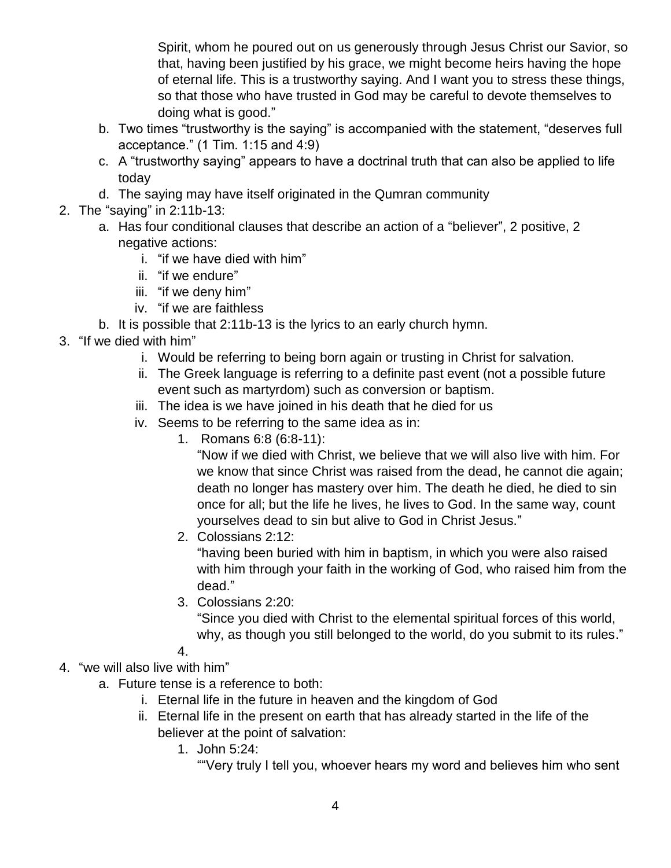Spirit, whom he poured out on us generously through Jesus Christ our Savior, so that, having been justified by his grace, we might become heirs having the hope of eternal life. This is a trustworthy saying. And I want you to stress these things, so that those who have trusted in God may be careful to devote themselves to doing what is good."

- b. Two times "trustworthy is the saying" is accompanied with the statement, "deserves full acceptance." (1 Tim. 1:15 and 4:9)
- c. A "trustworthy saying" appears to have a doctrinal truth that can also be applied to life today
- d. The saying may have itself originated in the Qumran community
- 2. The "saying" in 2:11b-13:
	- a. Has four conditional clauses that describe an action of a "believer", 2 positive, 2 negative actions:
		- i. "if we have died with him"
		- ii. "if we endure"
		- iii. "if we deny him"
		- iv. "if we are faithless
	- b. It is possible that 2:11b-13 is the lyrics to an early church hymn.
- 3. "If we died with him"
	- i. Would be referring to being born again or trusting in Christ for salvation.
	- ii. The Greek language is referring to a definite past event (not a possible future event such as martyrdom) such as conversion or baptism.
	- iii. The idea is we have joined in his death that he died for us
	- iv. Seems to be referring to the same idea as in:
		- 1. Romans 6:8 (6:8-11):

"Now if we died with Christ, we believe that we will also live with him. For we know that since Christ was raised from the dead, he cannot die again; death no longer has mastery over him. The death he died, he died to sin once for all; but the life he lives, he lives to God. In the same way, count yourselves dead to sin but alive to God in Christ Jesus."

2. Colossians 2:12:

"having been buried with him in baptism, in which you were also raised with him through your faith in the working of God, who raised him from the dead."

3. Colossians 2:20:

"Since you died with Christ to the elemental spiritual forces of this world, why, as though you still belonged to the world, do you submit to its rules."

- 4.
- 4. "we will also live with him"
	- a. Future tense is a reference to both:
		- i. Eternal life in the future in heaven and the kingdom of God
		- ii. Eternal life in the present on earth that has already started in the life of the believer at the point of salvation:
			- 1. John 5:24:

""Very truly I tell you, whoever hears my word and believes him who sent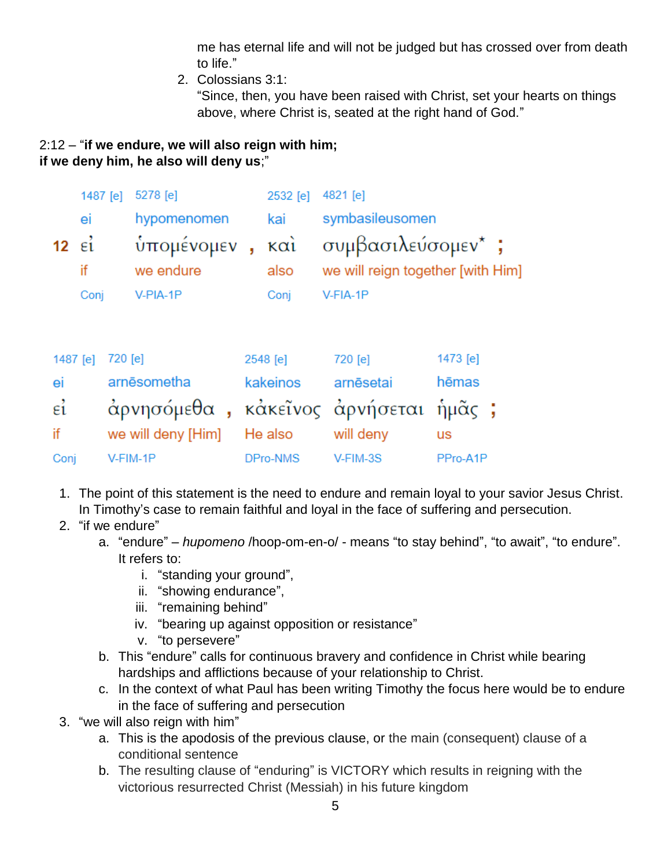me has eternal life and will not be judged but has crossed over from death to life."

2. Colossians 3:1:

"Since, then, you have been raised with Christ, set your hearts on things above, where Christ is, seated at the right hand of God."

## 2:12 – "**if we endure, we will also reign with him; if we deny him, he also will deny us**;"

|                 | 1487 [e]           |          | 5278 [e]                       |    | 2532 [e]    | 4821 [e]                                               |          |  |
|-----------------|--------------------|----------|--------------------------------|----|-------------|--------------------------------------------------------|----------|--|
|                 | ei                 |          | hypomenomen                    |    | kai         | symbasileusomen                                        |          |  |
| 12 <sub>2</sub> | $\epsilon_1$<br>if |          | υπομένομεν<br>we endure        | j, | καὶ<br>also | συμβασιλεύσομεν*;<br>we will reign together [with Him] |          |  |
|                 | Conj               |          | V-PIA-1P                       |    | Conj        | V-FIA-1P                                               |          |  |
| 1487 [e]        |                    | 720 [e]  |                                |    | 2548 [e]    | 720 [e]                                                | 1473 [e] |  |
| ei              |                    |          | arnēsometha                    |    | kakeinos    | arnēsetai                                              | hēmas    |  |
| $\epsilon$ i    |                    |          | άρνησόμεθα, κάκεῖνος ἀρνήσεται |    |             |                                                        | ήμᾶς ;   |  |
| if              |                    |          | we will deny [Him]             |    | He also     | will deny                                              | us       |  |
| Conj            |                    | V-FIM-1P |                                |    | DPro-NMS    | V-FIM-3S                                               | PPro-A1P |  |

- 1. The point of this statement is the need to endure and remain loyal to your savior Jesus Christ. In Timothy's case to remain faithful and loyal in the face of suffering and persecution.
- 2. "if we endure"
	- a. "endure" *hupomeno* /hoop-om-en-o/ means "to stay behind", "to await", "to endure". It refers to:
		- i. "standing your ground",
		- ii. "showing endurance",
		- iii. "remaining behind"
		- iv. "bearing up against opposition or resistance"
		- v. "to persevere"
	- b. This "endure" calls for continuous bravery and confidence in Christ while bearing hardships and afflictions because of your relationship to Christ.
	- c. In the context of what Paul has been writing Timothy the focus here would be to endure in the face of suffering and persecution
- 3. "we will also reign with him"
	- a. This is the apodosis of the previous clause, or the main (consequent) clause of a conditional sentence
	- b. The resulting clause of "enduring" is VICTORY which results in reigning with the victorious resurrected Christ (Messiah) in his future kingdom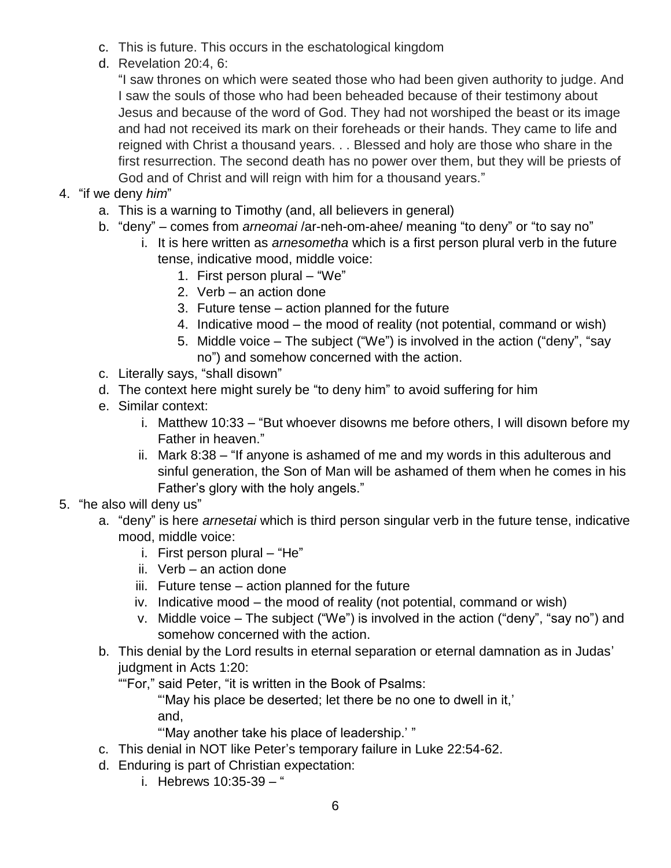- c. This is future. This occurs in the eschatological kingdom
- d. Revelation 20:4, 6:

"I saw thrones on which were seated those who had been given authority to judge. And I saw the souls of those who had been beheaded because of their testimony about Jesus and because of the word of God. They had not worshiped the beast or its image and had not received its mark on their foreheads or their hands. They came to life and reigned with Christ a thousand years. . . Blessed and holy are those who share in the first resurrection. The second death has no power over them, but they will be priests of God and of Christ and will reign with him for a thousand years."

- 4. "if we deny *him*"
	- a. This is a warning to Timothy (and, all believers in general)
	- b. "deny" comes from *arneomai* /ar-neh-om-ahee/ meaning "to deny" or "to say no"
		- i. It is here written as *arnesometha* which is a first person plural verb in the future tense, indicative mood, middle voice:
			- 1. First person plural "We"
			- 2. Verb an action done
			- 3. Future tense action planned for the future
			- 4. Indicative mood the mood of reality (not potential, command or wish)
			- 5. Middle voice The subject ("We") is involved in the action ("deny", "say no") and somehow concerned with the action.
	- c. Literally says, "shall disown"
	- d. The context here might surely be "to deny him" to avoid suffering for him
	- e. Similar context:
		- i. Matthew 10:33 "But whoever disowns me before others, I will disown before my Father in heaven."
		- ii. Mark 8:38 "If anyone is ashamed of me and my words in this adulterous and sinful generation, the Son of Man will be ashamed of them when he comes in his Father's glory with the holy angels."
- 5. "he also will deny us"
	- a. "deny" is here *arnesetai* which is third person singular verb in the future tense, indicative mood, middle voice:
		- i. First person plural "He"
		- ii. Verb an action done
		- iii. Future tense action planned for the future
		- iv. Indicative mood the mood of reality (not potential, command or wish)
		- v. Middle voice The subject ("We") is involved in the action ("deny", "say no") and somehow concerned with the action.
	- b. This denial by the Lord results in eternal separation or eternal damnation as in Judas' judgment in Acts 1:20:
		- ""For," said Peter, "it is written in the Book of Psalms:

"'May his place be deserted; let there be no one to dwell in it,' and,

"'May another take his place of leadership.' "

- c. This denial in NOT like Peter's temporary failure in Luke 22:54-62.
- d. Enduring is part of Christian expectation:
	- i. Hebrews 10:35-39 "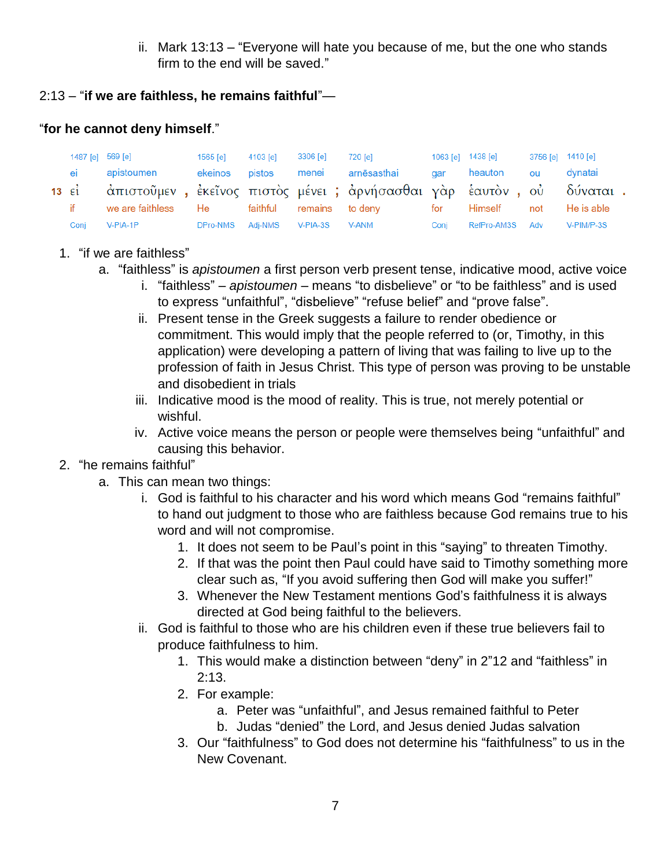ii. Mark 13:13 – "Everyone will hate you because of me, but the one who stands firm to the end will be saved."

## 2:13 – "**if we are faithless, he remains faithful**"—

## "**for he cannot deny himself**."

|      | 1487 [e] 569 [e]                                                             | 1565 [e]                  | 4103 [e] | 3306 [e] | 720 [e]                    |      | 1063 [e] 1438 [e] | 3756 [e] 1410 [e] |            |
|------|------------------------------------------------------------------------------|---------------------------|----------|----------|----------------------------|------|-------------------|-------------------|------------|
| ei   | apistoumen                                                                   | ekeinos                   |          |          | pistos menei arnēsasthai   |      | gar heauton       | ou                | dvnatai    |
|      | 13 εί ο άπιστοῦμεν, ἐκεῖνος πιστὸς μένει; ἀρνήσασθαι γὰρ ἑαυτὸν, οὐ δύναται. |                           |          |          |                            |      |                   |                   |            |
| it.  | we are faithless He faithful                                                 |                           |          | remains  | to deny      for   Himself |      |                   | not               | He is able |
| Coni | V-PIA-1P                                                                     | DPro-NMS Adj-NMS V-PIA-3S |          |          | V-ANM                      | Coni | RefPro-AM3S Adv   |                   | V-PIM/P-3S |

## 1. "if we are faithless"

- a. "faithless" is *apistoumen* a first person verb present tense, indicative mood, active voice
	- i. "faithless" *apistoumen* means "to disbelieve" or "to be faithless" and is used to express "unfaithful", "disbelieve" "refuse belief" and "prove false".
	- ii. Present tense in the Greek suggests a failure to render obedience or commitment. This would imply that the people referred to (or, Timothy, in this application) were developing a pattern of living that was failing to live up to the profession of faith in Jesus Christ. This type of person was proving to be unstable and disobedient in trials
	- iii. Indicative mood is the mood of reality. This is true, not merely potential or wishful.
	- iv. Active voice means the person or people were themselves being "unfaithful" and causing this behavior.
- 2. "he remains faithful"
	- a. This can mean two things:
		- i. God is faithful to his character and his word which means God "remains faithful" to hand out judgment to those who are faithless because God remains true to his word and will not compromise.
			- 1. It does not seem to be Paul's point in this "saying" to threaten Timothy.
			- 2. If that was the point then Paul could have said to Timothy something more clear such as, "If you avoid suffering then God will make you suffer!"
			- 3. Whenever the New Testament mentions God's faithfulness it is always directed at God being faithful to the believers.
		- ii. God is faithful to those who are his children even if these true believers fail to produce faithfulness to him.
			- 1. This would make a distinction between "deny" in 2"12 and "faithless" in 2:13.
			- 2. For example:
				- a. Peter was "unfaithful", and Jesus remained faithful to Peter
				- b. Judas "denied" the Lord, and Jesus denied Judas salvation
			- 3. Our "faithfulness" to God does not determine his "faithfulness" to us in the New Covenant.